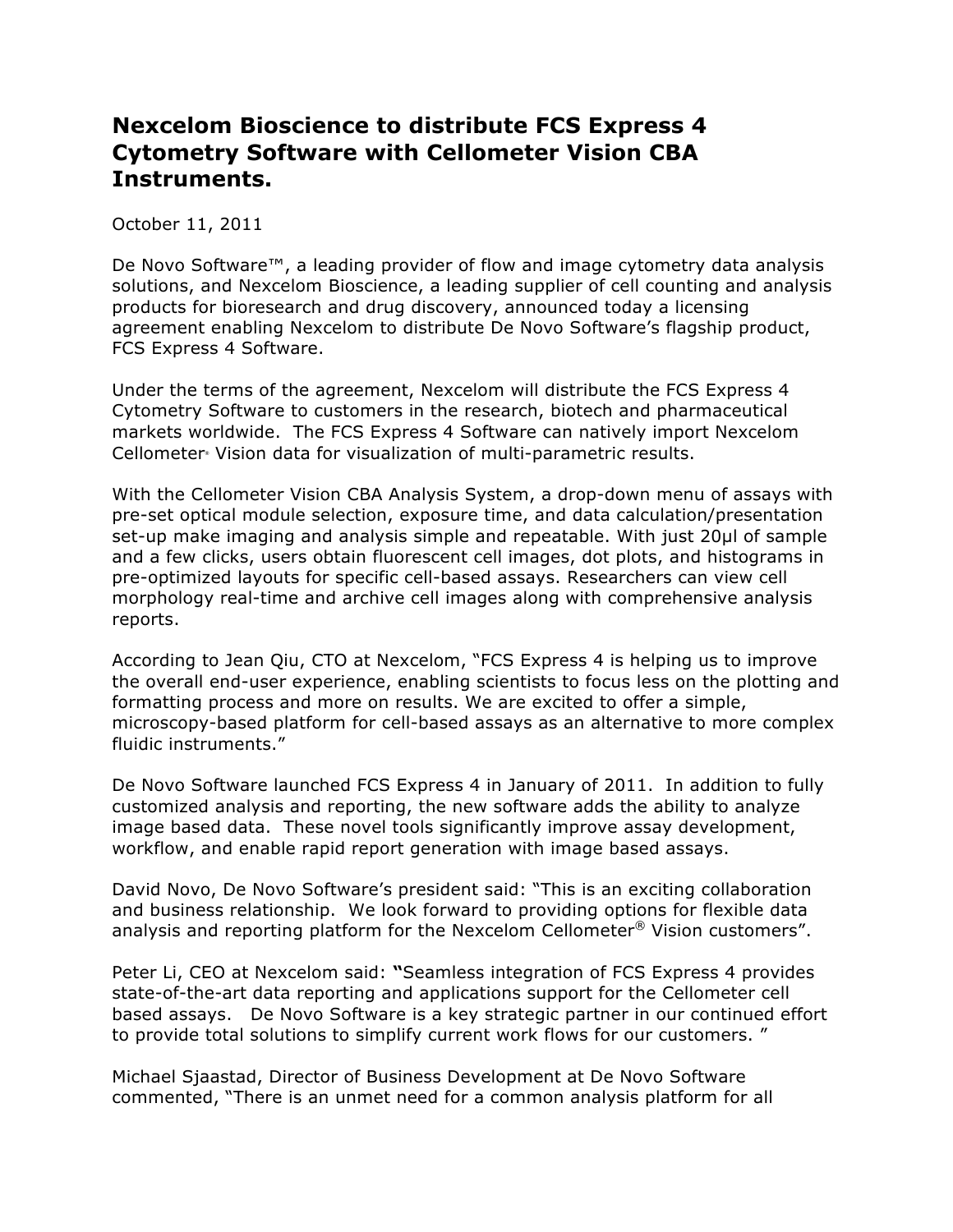## **Nexcelom Bioscience to distribute FCS Express 4 Cytometry Software with Cellometer Vision CBA Instruments.**

October 11, 2011

De Novo Software<sup>™</sup>, a leading provider of flow and image cytometry data analysis solutions, and Nexcelom Bioscience, a leading supplier of cell counting and analysis products for bioresearch and drug discovery, announced today a licensing agreement enabling Nexcelom to distribute De Novo Software's flagship product, FCS Express 4 Software.

Under the terms of the agreement, Nexcelom will distribute the FCS Express 4 Cytometry Software to customers in the research, biotech and pharmaceutical markets worldwide. The FCS Express 4 Software can natively import Nexcelom Cellometer® Vision data for visualization of multi-parametric results.

With the Cellometer Vision CBA Analysis System, a drop-down menu of assays with pre-set optical module selection, exposure time, and data calculation/presentation set-up make imaging and analysis simple and repeatable. With just 20µl of sample and a few clicks, users obtain fluorescent cell images, dot plots, and histograms in pre-optimized layouts for specific cell-based assays. Researchers can view cell morphology real-time and archive cell images along with comprehensive analysis reports.

According to Jean Qiu, CTO at Nexcelom, "FCS Express 4 is helping us to improve the overall end-user experience, enabling scientists to focus less on the plotting and formatting process and more on results. We are excited to offer a simple, microscopy-based platform for cell-based assays as an alternative to more complex fluidic instruments."

De Novo Software launched FCS Express 4 in January of 2011. In addition to fully customized analysis and reporting, the new software adds the ability to analyze image based data. These novel tools significantly improve assay development, workflow, and enable rapid report generation with image based assays.

David Novo, De Novo Software's president said: "This is an exciting collaboration and business relationship. We look forward to providing options for flexible data analysis and reporting platform for the Nexcelom Cellometer<sup>®</sup> Vision customers".

Peter Li, CEO at Nexcelom said: **"**Seamless integration of FCS Express 4 provides state-of-the-art data reporting and applications support for the Cellometer cell based assays. De Novo Software is a key strategic partner in our continued effort to provide total solutions to simplify current work flows for our customers. "

Michael Sjaastad, Director of Business Development at De Novo Software commented, "There is an unmet need for a common analysis platform for all